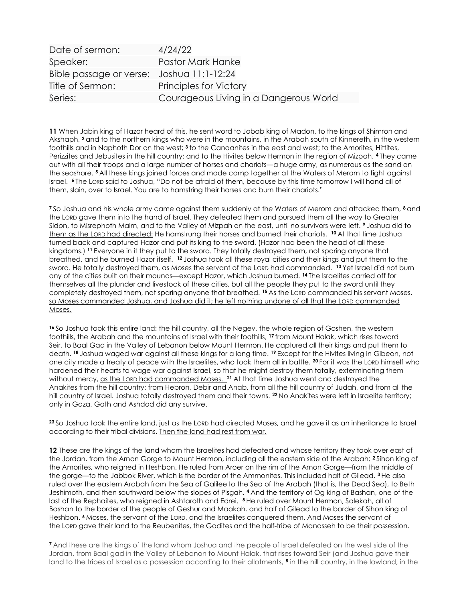| Date of sermon:                           | 4/24/22                                |
|-------------------------------------------|----------------------------------------|
| Speaker:                                  | Pastor Mark Hanke                      |
| Bible passage or verse: Joshua 11:1-12:24 |                                        |
| Title of Sermon:                          | <b>Principles for Victory</b>          |
| Series:                                   | Courageous Living in a Dangerous World |

11 When Jabin king of Hazor heard of this, he sent word to Jobab king of Madon, to the kings of Shimron and Akshaph, <sup>2</sup>and to the northern kings who were in the mountains, in the Arabah south of Kinnereth, in the western foothills and in Naphoth Dor on the west; <sup>3</sup> to the Canaanites in the east and west; to the Amorites, Hittites, Perizzites and Jebusites in the hill country; and to the Hivites below Hermon in the region of Mizpah. <sup>4</sup>They came out with all their troops and a large number of horses and chariots—a huge army, as numerous as the sand on the seashore. <sup>5</sup>All these kings joined forces and made camp together at the Waters of Merom to fight against Israel. <sup>6</sup>The Lorp said to Joshua, "Do not be afraid of them, because by this time tomorrow I will hand all of them, slain, over to Israel. You are to hamstring their horses and burn their chariots."

<sup>7</sup>So Joshua and his whole army came against them suddenly at the Waters of Merom and attacked them, <sup>8</sup> and the LORD gave them into the hand of Israel. They defeated them and pursued them all the way to Greater Sidon, to Misrephoth Maim, and to the Valley of Mizpah on the east, until no survivors were left. *I Joshua did to* them as the LORD had directed: He hamstrung their horses and burned their chariots. <sup>10</sup> At that time Joshua turned back and captured Hazor and put its king to the sword. (Hazor had been the head of all these kingdoms.) <sup>11</sup>Everyone in it they put to the sword. They totally destroyed them, not sparing anyone that breathed, and he burned Hazor itself. <sup>12</sup> Joshua took all these royal cities and their kings and put them to the sword. He totally destroyed them, as Moses the servant of the LORD had commanded. <sup>13</sup> Yet Israel did not burn any of the cities built on their mounds—except Hazor, which Joshua burned. <sup>14</sup>The Israelites carried off for themselves all the plunder and livestock of these cities, but all the people they put to the sword until they completely destroyed them, not sparing anyone that breathed. <sup>15</sup> As the LORD commanded his servant Moses, so Moses commanded Joshua, and Joshua did it; he left nothing undone of all that the LORD commanded Moses.

<sup>16</sup>So Joshua took this entire land: the hill country, all the Negev, the whole region of Goshen, the western foothills, the Arabah and the mountains of Israel with their foothills, <sup>17</sup>from Mount Halak, which rises toward Seir, to Baal Gad in the Valley of Lebanon below Mount Hermon. He captured all their kings and put them to death. <sup>18</sup> Joshua waged war against all these kings for a long time. <sup>19</sup> Except for the Hivites living in Gibeon, not one city made a treaty of peace with the Israelites, who took them all in battle. 20 For it was the LORD himself who hardened their hearts to wage war against Israel, so that he might destroy them totally, exterminating them without mercy, as the LORD had commanded Moses. <sup>21</sup> At that time Joshua went and destroyed the Anakites from the hill country: from Hebron, Debir and Anab, from all the hill country of Judah, and from all the hill country of Israel. Joshua totally destroyed them and their towns. <sup>22</sup> No Anakites were left in Israelite territory; only in Gaza, Gath and Ashdod did any survive.

23So Joshua took the entire land, just as the LORD had directed Moses, and he gave it as an inheritance to Israel according to their tribal divisions. Then the land had rest from war.

12 These are the kings of the land whom the Israelites had defeated and whose territory they took over east of the Jordan, from the Arnon Gorge to Mount Hermon, including all the eastern side of the Arabah: <sup>2</sup>Sihon king of the Amorites, who reigned in Heshbon. He ruled from Aroer on the rim of the Arnon Gorge—from the middle of the gorge—to the Jabbok River, which is the border of the Ammonites. This included half of Gilead. <sup>3</sup>He also ruled over the eastern Arabah from the Sea of Galilee to the Sea of the Arabah (that is, the Dead Sea), to Beth Jeshimoth, and then southward below the slopes of Pisgah. <sup>4</sup>And the territory of Og king of Bashan, one of the last of the Rephaites, who reigned in Ashtaroth and Edrei. <sup>5</sup>He ruled over Mount Hermon, Salekah, all of Bashan to the border of the people of Geshur and Maakah, and half of Gilead to the border of Sihon king of Heshbon. <sup>6</sup> Moses, the servant of the Lorp, and the Israelites conquered them. And Moses the servant of the LORD gave their land to the Reubenites, the Gadites and the half-tribe of Manasseh to be their possession.

<sup>7</sup>And these are the kings of the land whom Joshua and the people of Israel defeated on the west side of the Jordan, from Baal-gad in the Valley of Lebanon to Mount Halak, that rises toward Seir (and Joshua gave their land to the tribes of Israel as a possession according to their allotments, 8 in the hill country, in the lowland, in the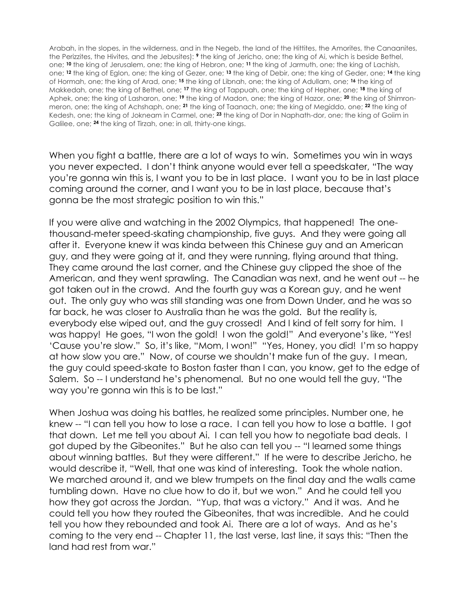Arabah, in the slopes, in the wilderness, and in the Negeb, the land of the Hittites, the Amorites, the Canaanites, the Perizzites, the Hivites, and the Jebusites): *I* the king of Jericho, one; the king of Ai, which is beside Bethel, one; 10 the king of Jerusalem, one; the king of Hebron, one; 11 the king of Jarmuth, one; the king of Lachish, one; <sup>12</sup> the king of Eglon, one; the king of Gezer, one; <sup>13</sup> the king of Debir, one; the king of Geder, one; <sup>14</sup> the king of Hormah, one; the king of Arad, one; <sup>15</sup> the king of Libnah, one; the king of Adullam, one; <sup>16</sup> the king of Makkedah, one; the king of Bethel, one; <sup>17</sup> the king of Tappuah, one; the king of Hepher, one; <sup>18</sup> the king of Aphek, one; the king of Lasharon, one; 19 the king of Madon, one; the king of Hazor, one; 20 the king of Shimronmeron, one; the king of Achshaph, one; <sup>21</sup> the king of Taanach, one; the king of Megiddo, one; <sup>22</sup> the king of Kedesh, one; the king of Jokneam in Carmel, one; <sup>23</sup> the king of Dor in Naphath-dor, one; the king of Goiim in Galilee, one; <sup>24</sup> the king of Tirzah, one: in all, thirty-one kings.

When you fight a battle, there are a lot of ways to win. Sometimes you win in ways you never expected. I don't think anyone would ever tell a speedskater, "The way you're gonna win this is, I want you to be in last place. I want you to be in last place coming around the corner, and I want you to be in last place, because that's gonna be the most strategic position to win this."

If you were alive and watching in the 2002 Olympics, that happened! The onethousand-meter speed-skating championship, five guys. And they were going all after it. Everyone knew it was kinda between this Chinese guy and an American guy, and they were going at it, and they were running, flying around that thing. They came around the last corner, and the Chinese guy clipped the shoe of the American, and they went sprawling. The Canadian was next, and he went out -- he got taken out in the crowd. And the fourth guy was a Korean guy, and he went out. The only guy who was still standing was one from Down Under, and he was so far back, he was closer to Australia than he was the gold. But the reality is, everybody else wiped out, and the guy crossed! And I kind of felt sorry for him. I was happy! He goes, "I won the gold! I won the gold!" And everyone's like, "Yes! 'Cause you're slow." So, it's like, "Mom, I won!" "Yes, Honey, you did! I'm so happy at how slow you are." Now, of course we shouldn't make fun of the guy. I mean, the guy could speed-skate to Boston faster than I can, you know, get to the edge of Salem. So -- I understand he's phenomenal. But no one would tell the guy, "The way you're gonna win this is to be last."

When Joshua was doing his battles, he realized some principles. Number one, he knew -- "I can tell you how to lose a race. I can tell you how to lose a battle. I got that down. Let me tell you about Ai. I can tell you how to negotiate bad deals. I got duped by the Gibeonites." But he also can tell you -- "I learned some things about winning battles. But they were different." If he were to describe Jericho, he would describe it, "Well, that one was kind of interesting. Took the whole nation. We marched around it, and we blew trumpets on the final day and the walls came tumbling down. Have no clue how to do it, but we won." And he could tell you how they got across the Jordan. "Yup, that was a victory." And it was. And he could tell you how they routed the Gibeonites, that was incredible. And he could tell you how they rebounded and took Ai. There are a lot of ways. And as he's coming to the very end -- Chapter 11, the last verse, last line, it says this: "Then the land had rest from war."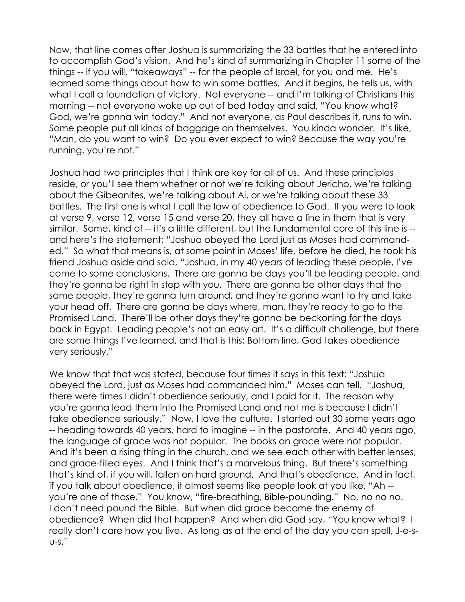Now, that line comes after Joshua is summarizing the 33 battles that he entered into to accomplish God's vision. And he's kind of summarizing in Chapter 11 some of the things -- if you will, "takeaways" -- for the people of Israel, for you and me. He's learned some things about how to win some battles. And it begins, he tells us, with what I call a foundation of victory. Not everyone -- and I'm talking of Christians this morning -- not everyone woke up out of bed today and said, "You know what? God, we're gonna win today." And not everyone, as Paul describes it, runs to win. Some people put all kinds of baggage on themselves. You kinda wonder. It's like, "Man, do you want to win? Do you ever expect to win? Because the way you're running, you're not."

Joshua had two principles that I think are key for all of us. And these principles reside, or you'll see them whether or not we're talking about Jericho, we're talking about the Gibeonites, we're talking about Ai, or we're talking about these 33 battles. The first one is what I call the law of obedience to God. If you were to look at verse 9, verse 12, verse 15 and verse 20, they all have a line in them that is very similar. Some, kind of -- it's a little different, but the fundamental core of this line is -and here's the statement: "Joshua obeyed the Lord just as Moses had commanded." So what that means is, at some point in Moses' life, before he died, he took his friend Joshua aside and said, "Joshua, in my 40 years of leading these people, I've come to some conclusions. There are gonna be days you'll be leading people, and they're gonna be right in step with you. There are gonna be other days that the same people, they're gonna turn around, and they're gonna want to try and take your head off. There are gonna be days where, man, they're ready to go to the Promised Land. There'll be other days they're gonna be beckoning for the days back in Egypt. Leading people's not an easy art. It's a difficult challenge, but there are some things I've learned, and that is this: Bottom line, God takes obedience very seriously."

We know that that was stated, because four times it says in this text: "Joshua obeyed the Lord, just as Moses had commanded him." Moses can tell. "Joshua, there were times I didn't obedience seriously, and I paid for it. The reason why you're gonna lead them into the Promised Land and not me is because I didn't take obedience seriously." Now, I love the culture. I started out 30 some years ago -- heading towards 40 years, hard to imagine -- in the pastorate. And 40 years ago, the language of grace was not popular. The books on grace were not popular. And it's been a rising thing in the church, and we see each other with better lenses, and grace-filled eyes. And I think that's a marvelous thing. But there's something that's kind of, if you will, fallen on hard ground. And that's obedience. And in fact, if you talk about obedience, it almost seems like people look at you like, "Ah - you're one of those." You know, "fire-breathing, Bible-pounding." No, no no no. I don't need pound the Bible. But when did grace become the enemy of obedience? When did that happen? And when did God say, "You know what? I really don't care how you live. As long as at the end of the day you can spell, J-e-su-s."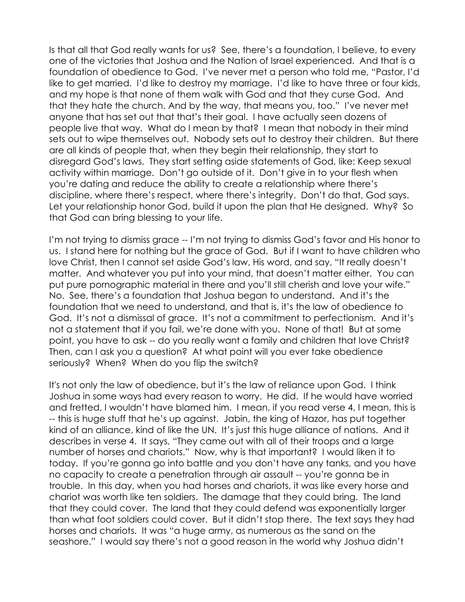Is that all that God really wants for us? See, there's a foundation, I believe, to every one of the victories that Joshua and the Nation of Israel experienced. And that is a foundation of obedience to God. I've never met a person who told me, "Pastor, I'd like to get married. I'd like to destroy my marriage. I'd like to have three or four kids, and my hope is that none of them walk with God and that they curse God. And that they hate the church. And by the way, that means you, too." I've never met anyone that has set out that that's their goal. I have actually seen dozens of people live that way. What do I mean by that? I mean that nobody in their mind sets out to wipe themselves out. Nobody sets out to destroy their children. But there are all kinds of people that, when they begin their relationship, they start to disregard God's laws. They start setting aside statements of God, like: Keep sexual activity within marriage. Don't go outside of it. Don't give in to your flesh when you're dating and reduce the ability to create a relationship where there's discipline, where there's respect, where there's integrity. Don't do that, God says. Let your relationship honor God, build it upon the plan that He designed. Why? So that God can bring blessing to your life.

I'm not trying to dismiss grace -- I'm not trying to dismiss God's favor and His honor to us. I stand here for nothing but the grace of God. But if I want to have children who love Christ, then I cannot set aside God's law, His word, and say, "It really doesn't matter. And whatever you put into your mind, that doesn't matter either. You can put pure pornographic material in there and you'll still cherish and love your wife." No. See, there's a foundation that Joshua began to understand. And it's the foundation that we need to understand, and that is, it's the law of obedience to God. It's not a dismissal of grace. It's not a commitment to perfectionism. And it's not a statement that if you fail, we're done with you. None of that! But at some point, you have to ask -- do you really want a family and children that love Christ? Then, can I ask you a question? At what point will you ever take obedience seriously? When? When do you flip the switch?

It's not only the law of obedience, but it's the law of reliance upon God. I think Joshua in some ways had every reason to worry. He did. If he would have worried and fretted, I wouldn't have blamed him. I mean, if you read verse 4, I mean, this is -- this is huge stuff that he's up against. Jabin, the king of Hazor, has put together kind of an alliance, kind of like the UN. It's just this huge alliance of nations. And it describes in verse 4. It says, "They came out with all of their troops and a large number of horses and chariots." Now, why is that important? I would liken it to today. If you're gonna go into battle and you don't have any tanks, and you have no capacity to create a penetration through air assault -- you're gonna be in trouble. In this day, when you had horses and chariots, it was like every horse and chariot was worth like ten soldiers. The damage that they could bring. The land that they could cover. The land that they could defend was exponentially larger than what foot soldiers could cover. But it didn't stop there. The text says they had horses and chariots. It was "a huge army, as numerous as the sand on the seashore." I would say there's not a good reason in the world why Joshua didn't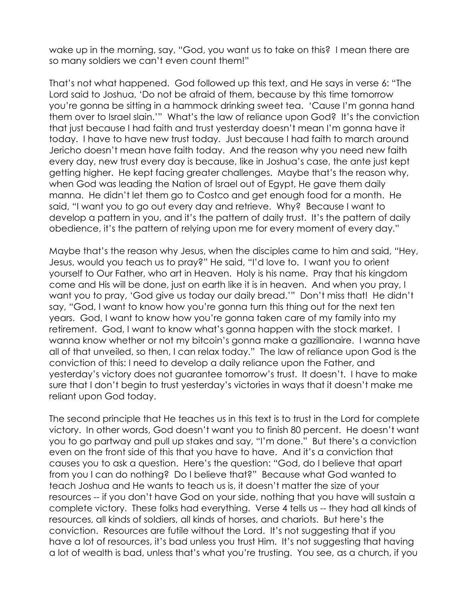wake up in the morning, say, "God, you want us to take on this? I mean there are so many soldiers we can't even count them!"

That's not what happened. God followed up this text, and He says in verse 6: "The Lord said to Joshua, 'Do not be afraid of them, because by this time tomorrow you're gonna be sitting in a hammock drinking sweet tea. 'Cause I'm gonna hand them over to Israel slain.'" What's the law of reliance upon God? It's the conviction that just because I had faith and trust yesterday doesn't mean I'm gonna have it today. I have to have new trust today. Just because I had faith to march around Jericho doesn't mean have faith today. And the reason why you need new faith every day, new trust every day is because, like in Joshua's case, the ante just kept getting higher. He kept facing greater challenges. Maybe that's the reason why, when God was leading the Nation of Israel out of Egypt, He gave them daily manna. He didn't let them go to Costco and get enough food for a month. He said, "I want you to go out every day and retrieve. Why? Because I want to develop a pattern in you, and it's the pattern of daily trust. It's the pattern of daily obedience, it's the pattern of relying upon me for every moment of every day."

Maybe that's the reason why Jesus, when the disciples came to him and said, "Hey, Jesus, would you teach us to pray?" He said, "I'd love to. I want you to orient yourself to Our Father, who art in Heaven. Holy is his name. Pray that his kingdom come and His will be done, just on earth like it is in heaven. And when you pray, I want you to pray, 'God give us today our daily bread.'" Don't miss that! He didn't say, "God, I want to know how you're gonna turn this thing out for the next ten years. God, I want to know how you're gonna taken care of my family into my retirement. God, I want to know what's gonna happen with the stock market. I wanna know whether or not my bitcoin's gonna make a gazillionaire. I wanna have all of that unveiled, so then, I can relax today." The law of reliance upon God is the conviction of this: I need to develop a daily reliance upon the Father, and yesterday's victory does not guarantee tomorrow's trust. It doesn't. I have to make sure that I don't begin to trust yesterday's victories in ways that it doesn't make me reliant upon God today.

The second principle that He teaches us in this text is to trust in the Lord for complete victory. In other words, God doesn't want you to finish 80 percent. He doesn't want you to go partway and pull up stakes and say, "I'm done." But there's a conviction even on the front side of this that you have to have. And it's a conviction that causes you to ask a question. Here's the question: "God, do I believe that apart from you I can do nothing? Do I believe that?" Because what God wanted to teach Joshua and He wants to teach us is, it doesn't matter the size of your resources -- if you don't have God on your side, nothing that you have will sustain a complete victory. These folks had everything. Verse 4 tells us -- they had all kinds of resources, all kinds of soldiers, all kinds of horses, and chariots. But here's the conviction. Resources are futile without the Lord. It's not suggesting that if you have a lot of resources, it's bad unless you trust Him. It's not suggesting that having a lot of wealth is bad, unless that's what you're trusting. You see, as a church, if you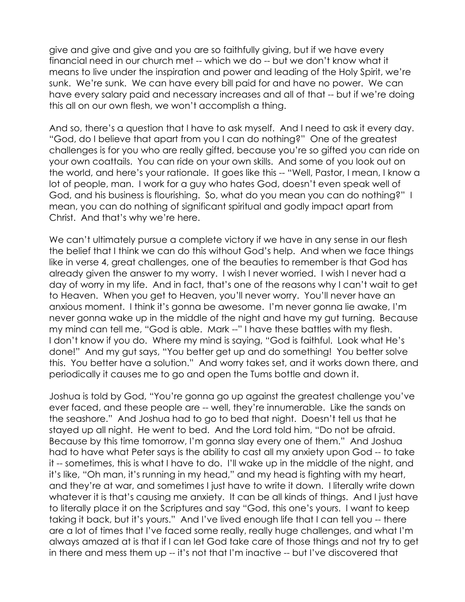give and give and give and you are so faithfully giving, but if we have every financial need in our church met -- which we do -- but we don't know what it means to live under the inspiration and power and leading of the Holy Spirit, we're sunk. We're sunk. We can have every bill paid for and have no power. We can have every salary paid and necessary increases and all of that -- but if we're doing this all on our own flesh, we won't accomplish a thing.

And so, there's a question that I have to ask myself. And I need to ask it every day. "God, do I believe that apart from you I can do nothing?" One of the greatest challenges is for you who are really gifted, because you're so gifted you can ride on your own coattails. You can ride on your own skills. And some of you look out on the world, and here's your rationale. It goes like this -- "Well, Pastor, I mean, I know a lot of people, man. I work for a guy who hates God, doesn't even speak well of God, and his business is flourishing. So, what do you mean you can do nothing?" I mean, you can do nothing of significant spiritual and godly impact apart from Christ. And that's why we're here.

We can't ultimately pursue a complete victory if we have in any sense in our flesh the belief that I think we can do this without God's help. And when we face things like in verse 4, great challenges, one of the beauties to remember is that God has already given the answer to my worry. I wish I never worried. I wish I never had a day of worry in my life. And in fact, that's one of the reasons why I can't wait to get to Heaven. When you get to Heaven, you'll never worry. You'll never have an anxious moment. I think it's gonna be awesome. I'm never gonna lie awake, I'm never gonna wake up in the middle of the night and have my gut turning. Because my mind can tell me, "God is able. Mark --" I have these battles with my flesh. I don't know if you do. Where my mind is saying, "God is faithful. Look what He's done!" And my gut says, "You better get up and do something! You better solve this. You better have a solution." And worry takes set, and it works down there, and periodically it causes me to go and open the Tums bottle and down it.

Joshua is told by God, "You're gonna go up against the greatest challenge you've ever faced, and these people are -- well, they're innumerable. Like the sands on the seashore." And Joshua had to go to bed that night. Doesn't tell us that he stayed up all night. He went to bed. And the Lord told him, "Do not be afraid. Because by this time tomorrow, I'm gonna slay every one of them." And Joshua had to have what Peter says is the ability to cast all my anxiety upon God -- to take it -- sometimes, this is what I have to do. I'll wake up in the middle of the night, and it's like, "Oh man, it's running in my head," and my head is fighting with my heart, and they're at war, and sometimes I just have to write it down. I literally write down whatever it is that's causing me anxiety. It can be all kinds of things. And I just have to literally place it on the Scriptures and say "God, this one's yours. I want to keep taking it back, but it's yours." And I've lived enough life that I can tell you -- there are a lot of times that I've faced some really, really huge challenges, and what I'm always amazed at is that if I can let God take care of those things and not try to get in there and mess them up -- it's not that I'm inactive -- but I've discovered that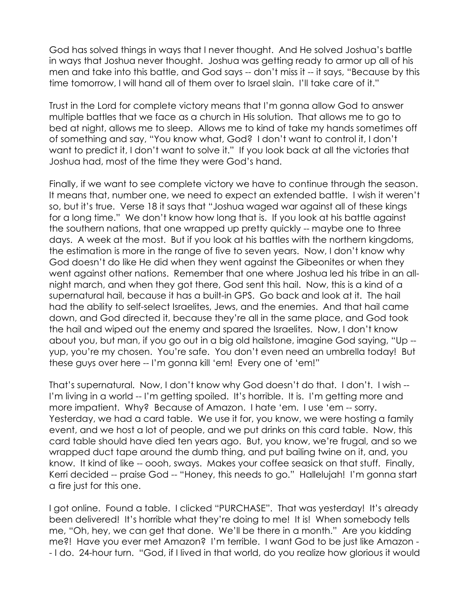God has solved things in ways that I never thought. And He solved Joshua's battle in ways that Joshua never thought. Joshua was getting ready to armor up all of his men and take into this battle, and God says -- don't miss it -- it says, "Because by this time tomorrow, I will hand all of them over to Israel slain. I'll take care of it."

Trust in the Lord for complete victory means that I'm gonna allow God to answer multiple battles that we face as a church in His solution. That allows me to go to bed at night, allows me to sleep. Allows me to kind of take my hands sometimes off of something and say, "You know what, God? I don't want to control it, I don't want to predict it, I don't want to solve it." If you look back at all the victories that Joshua had, most of the time they were God's hand.

Finally, if we want to see complete victory we have to continue through the season. It means that, number one, we need to expect an extended battle. I wish it weren't so, but it's true. Verse 18 it says that "Joshua waged war against all of these kings for a long time." We don't know how long that is. If you look at his battle against the southern nations, that one wrapped up pretty quickly -- maybe one to three days. A week at the most. But if you look at his battles with the northern kingdoms, the estimation is more in the range of five to seven years. Now, I don't know why God doesn't do like He did when they went against the Gibeonites or when they went against other nations. Remember that one where Joshua led his tribe in an allnight march, and when they got there, God sent this hail. Now, this is a kind of a supernatural hail, because it has a built-in GPS. Go back and look at it. The hail had the ability to self-select Israelites, Jews, and the enemies. And that hail came down, and God directed it, because they're all in the same place, and God took the hail and wiped out the enemy and spared the Israelites. Now, I don't know about you, but man, if you go out in a big old hailstone, imagine God saying, "Up - yup, you're my chosen. You're safe. You don't even need an umbrella today! But these guys over here -- I'm gonna kill 'em! Every one of 'em!"

That's supernatural. Now, I don't know why God doesn't do that. I don't. I wish -- I'm living in a world -- I'm getting spoiled. It's horrible. It is. I'm getting more and more impatient. Why? Because of Amazon. I hate 'em. I use 'em -- sorry. Yesterday, we had a card table. We use it for, you know, we were hosting a family event, and we host a lot of people, and we put drinks on this card table. Now, this card table should have died ten years ago. But, you know, we're frugal, and so we wrapped duct tape around the dumb thing, and put bailing twine on it, and, you know. It kind of like -- oooh, sways. Makes your coffee seasick on that stuff. Finally, Kerri decided -- praise God -- "Honey, this needs to go." Hallelujah! I'm gonna start a fire just for this one.

I got online. Found a table. I clicked "PURCHASE". That was yesterday! It's already been delivered! It's horrible what they're doing to me! It is! When somebody tells me, "Oh, hey, we can get that done. We'll be there in a month." Are you kidding me?! Have you ever met Amazon? I'm terrible. I want God to be just like Amazon - - I do. 24-hour turn. "God, if I lived in that world, do you realize how glorious it would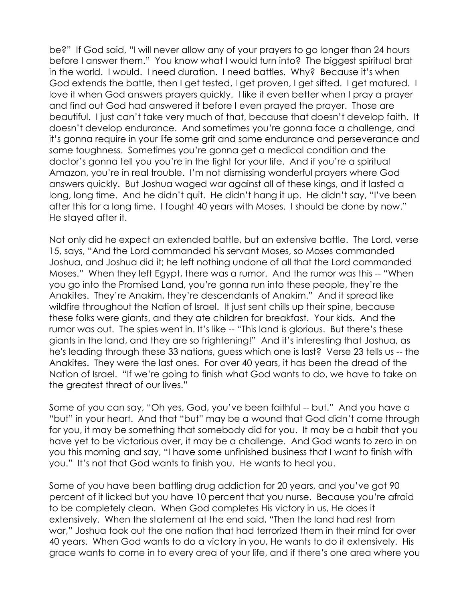be?" If God said, "I will never allow any of your prayers to go longer than 24 hours before I answer them." You know what I would turn into? The biggest spiritual brat in the world. I would. I need duration. I need battles. Why? Because it's when God extends the battle, then I get tested, I get proven, I get sifted. I get matured. I love it when God answers prayers quickly. I like it even better when I pray a prayer and find out God had answered it before I even prayed the prayer. Those are beautiful. I just can't take very much of that, because that doesn't develop faith. It doesn't develop endurance. And sometimes you're gonna face a challenge, and it's gonna require in your life some grit and some endurance and perseverance and some toughness. Sometimes you're gonna get a medical condition and the doctor's gonna tell you you're in the fight for your life. And if you're a spiritual Amazon, you're in real trouble. I'm not dismissing wonderful prayers where God answers quickly. But Joshua waged war against all of these kings, and it lasted a long, long time. And he didn't quit. He didn't hang it up. He didn't say, "I've been after this for a long time. I fought 40 years with Moses. I should be done by now." He stayed after it.

Not only did he expect an extended battle, but an extensive battle. The Lord, verse 15, says, "And the Lord commanded his servant Moses, so Moses commanded Joshua, and Joshua did it; he left nothing undone of all that the Lord commanded Moses." When they left Egypt, there was a rumor. And the rumor was this -- "When you go into the Promised Land, you're gonna run into these people, they're the Anakites. They're Anakim, they're descendants of Anakim." And it spread like wildfire throughout the Nation of Israel. It just sent chills up their spine, because these folks were giants, and they ate children for breakfast. Your kids. And the rumor was out. The spies went in. It's like -- "This land is glorious. But there's these giants in the land, and they are so frightening!" And it's interesting that Joshua, as he's leading through these 33 nations, guess which one is last? Verse 23 tells us -- the Anakites. They were the last ones. For over 40 years, it has been the dread of the Nation of Israel. "If we're going to finish what God wants to do, we have to take on the greatest threat of our lives."

Some of you can say, "Oh yes, God, you've been faithful -- but." And you have a "but" in your heart. And that "but" may be a wound that God didn't come through for you, it may be something that somebody did for you. It may be a habit that you have yet to be victorious over, it may be a challenge. And God wants to zero in on you this morning and say, "I have some unfinished business that I want to finish with you." It's not that God wants to finish you. He wants to heal you.

Some of you have been battling drug addiction for 20 years, and you've got 90 percent of it licked but you have 10 percent that you nurse. Because you're afraid to be completely clean. When God completes His victory in us, He does it extensively. When the statement at the end said, "Then the land had rest from war," Joshua took out the one nation that had terrorized them in their mind for over 40 years. When God wants to do a victory in you, He wants to do it extensively. His grace wants to come in to every area of your life, and if there's one area where you